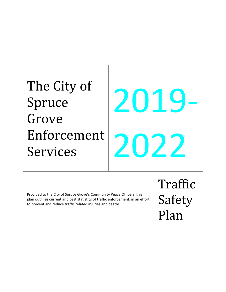# The City of Spruce Grove Enforcement Services 2019- 2022

Provided to the City of Spruce Grove's Community Peace Officers, this plan outlines current and past statistics of traffic enforcement, in an effort to prevent and reduce traffic related injuries and deaths.

Traffic Safety Plan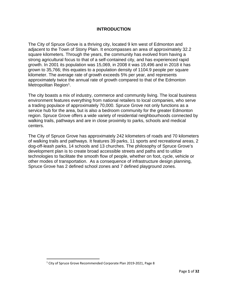# **INTRODUCTION**

The City of Spruce Grove is a thriving city, located 9 km west of Edmonton and adjacent to the Town of Stony Plain. It encompasses an area of approximately 32.2 square kilometers. Through the years, the community has evolved from having a strong agricultural focus to that of a self-contained city, and has experienced rapid growth. In 2001 its population was 15,069, in 2008 it was 19,496 and in 2018 it has grown to 35,766; this equates to a population density of 1104.9 people per square kilometer. The average rate of growth exceeds 5% per year, and represents approximately twice the annual rate of growth compared to that of the Edmonton Metropolitan Region<sup>1</sup>.

The city boasts a mix of industry, commerce and community living. The local business environment features everything from national retailers to local companies, who serve a trading populace of approximately 70,000. Spruce Grove not only functions as a service hub for the area, but is also a bedroom community for the greater Edmonton region. Spruce Grove offers a wide variety of residential neighbourhoods connected by walking trails, pathways and are in close proximity to parks, schools and medical centers.

The City of Spruce Grove has approximately 242 kilometers of roads and 70 kilometers of walking trails and pathways. It features 39 parks, 11 sports and recreational areas, 2 dog-off-leash parks, 14 schools and 13 churches. The philosophy of Spruce Grove's development plan is to create broad accessible streets and paths and to utilize technologies to facilitate the smooth flow of people, whether on foot, cycle, vehicle or other modes of transportation. As a consequence of infrastructure design planning, Spruce Grove has 2 defined school zones and 7 defined playground zones.

l

<span id="page-1-0"></span><sup>&</sup>lt;sup>1</sup> City of Spruce Grove Recommended Corporate Plan 2019-2021, Page 8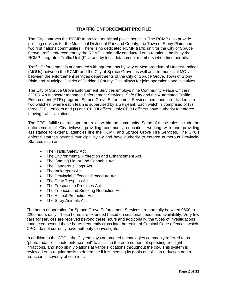# **TRAFFIC ENFORCEMENT PROFILE**

The City contracts the RCMP to provide municipal police services. The RCMP also provide policing services for the Municipal District of Parkland County, the Town of Stony Plain, and two first nations communities. There is no dedicated RCMP traffic unit for the City of Spruce Grove; traffic enforcement by the RCMP is primarily conducted on a rotational basis by the RCMP Integrated Traffic Unit (ITU) and by local detachment members when time permits.

Traffic Enforcement is augmented with agreements by way of Memorandum of Understandings (MOUs) between the RCMP and the City of Spruce Grove, as well as a tri-municipal MOU between the enforcement services departments of the City of Spruce Grove, Town of Stony Plain and Municipal District of Parkland County. This allows for joint operations and initiatives.

The City of Spruce Grove Enforcement Services employs nine Community Peace Officers (CPO). An Inspector manages Enforcement Services, Safe City and the Automated Traffic Enforcement (ATE) program. Spruce Grove Enforcement Services personnel are divided into two watches, where each team is supervised by a Sergeant. Each watch is comprised of (3) three CPO I officers and (1) one CPO II officer. Only CPO I officers have authority to enforce moving traffic violations.

The CPOs fulfill several important roles within the community. Some of these roles include the enforcement of City bylaws, providing community education, working with and providing assistance to external agencies like the RCMP and Spruce Grove Fire Services. The CPOs enforce statutes beyond municipal bylaw and have authority to enforce numerous Provincial Statutes such as:

- The Traffic Safety Act
- The Environmental Protection and Enhancement Act
- The Gaming Liquor and Cannabis Act
- The Dangerous Dogs Act
- The Innkeepers Act
- The Provincial Offences Procedure Act
- The Petty Trespass Act
- The Trespass to Premises Act
- The Tobacco and Smoking Reduction Act
- The Animal Protection Act
- The Stray Animals Act

The hours of operation for Spruce Grove Enforcement Services are normally between 0600 to 2200 hours daily. These hours are extended based on seasonal needs and availability. Very few calls for services are received beyond these hours and additionally, the types of investigations conducted beyond these hours frequently cross into the realm of Criminal Code offences, which CPOs do not currently have authority to investigate.

In addition to the CPOs, the City employs automated technologies commonly referred to as "photo radar" or "photo enforcement" to assist in the enforcement of speeding, red light infractions, and stop sign violations at various locations throughout the city. This system is reviewed on a regular basis to determine if it is meeting its goals of collision reduction and a reduction in severity of collisions.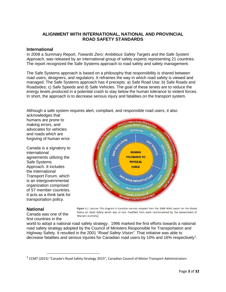# **ALIGNMENT WITH INTERNATIONAL, NATIONAL AND PROVINCIAL ROAD SAFETY STANDARDS**

#### **International**

In 2008 a Summary Report, *Towards Zero: Ambitious Safety Targets and the Safe System Approach,* was released by an international group of safety experts representing 21 countries. The report recognized the Safe Systems approach to road safety and safety management.

The Safe Systems approach is based on a philosophy that responsibility is shared between road users, designers, and regulators. It reframes the way in which road safety is viewed and managed. The Safe Systems approach has 4 precepts: a) Safe Road Use; b) Safe Roads and Roadsides; c) Safe Speeds and d) Safe Vehicles. The goal of these tenets are to reduce the energy levels produced in a potential crash to stay below the human tolerance to violent forces. In short, the approach is to decrease serious injury and fatalities on the transport system.

Although a safe system requires alert, compliant, and responsible road users, it also

acknowledges that humans are prone to making errors, and advocates for vehicles and roads which are forgiving of human error.

Canada is a signatory to international agreements utilizing the Safe Systems Approach. It includes the International Transport Forum, which is an intergovernmental organization comprised of 57 member countries. It acts as a think tank for transportation policy.



#### **National**

Canada was one of the first countries in the

Figure 1.1 .Source: This diagram is Canadian version adapted from the 2009 WHO report on the Global Status on Road Safety which was in turn modified from work commissioned by the Government of Western Australia.

world to adopt a national road safety strategy. 1996 marked the first efforts towards a national road safety strategy adopted by the Council of Ministers Responsible for Transportation and Highway Safety. It resulted in the 2001 *"Road Safety Vision".* That initiative was able to decrease fatalities and serious injuries for Canadian road users by 10% and 16% respectively<sup>[2](#page-3-0)</sup>.

<span id="page-3-0"></span> <sup>2</sup> CCMT (2015) "Canada's Road Safety Strategy 2015", Canadian Council of Motor Transport Administrators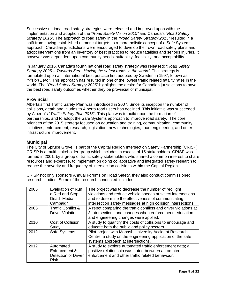Successive national road safety strategies were released and improved upon with the implementation and adoption of the *"Road Safety Vision 2010"* and Canada's *"Road Safety Strategy 2015".* The approach to road safety in the *"Road Safety Strategy 2015"* resulted in a shift from having established numerical targets to a more holistic concept of a Safe Systems approach. Canadian jurisdictions were encouraged to develop their own road safety plans and adopt interventions from an inventory of best practices to reduce fatalities and serious injuries. It however was dependent upon community needs, suitability, feasibility, and acceptability.

In January 2016, Canada's fourth national road safety strategy was released; *"Road Safety Strategy 2025 – Towards Zero: Having the safest roads in the world".* This strategy is formulated upon an international best practice first adopted by Sweden in 1997, known as *"Vision Zero".* This approach has resulted in one of the lowest traffic related fatality rates in the world. The *"Road Safety Strategy 2025"* highlights the desire for Canadian jurisdictions to have the best road safety outcomes whether they be provincial or municipal.

# **Provincial**

Alberta's first Traffic Safety Plan was introduced in 2007. Since its inception the number of collisions, death and injuries to Alberta road users has declined. This initiative was succeeded by Alberta's *"Traffic Safety Plan 2015".* This plan was to build upon the formation of partnerships, and to adopt the Safe Systems approach to improve road safety. The core priorities of the 2015 strategy focused on education and training, communication, community initiatives, enforcement, research, legislation, new technologies, road engineering, and other infrastructure improvement.

# **Municipal**

The City of Spruce Grove, is part of the Capital Region Intersection Safety Partnership (CRISP). CRISP is a multi-stakeholder group which includes in excess of 15 stakeholders. CRISP was formed in 2001, by a group of traffic safety stakeholders who shared a common interest to share resources and expertise, to implement on going collaborative and integrated safety research to reduce the severity and frequency of intersection collisions within the Capital Region.

CRISP not only sponsors Annual Forums on Road Safety, they also conduct commissioned research studies. Some of the research conducted includes:

| 2005 | Evaluation of Run             | The project was to decrease the number of red light              |
|------|-------------------------------|------------------------------------------------------------------|
|      | a Red and Stop                | violations and reduce vehicle speeds at select intersections     |
|      | Dead" Media                   | and to determine the effectiveness of communicating              |
|      | Campaign                      | intersection safety messages at high collision intersections.    |
| 2005 | <b>Traffic Conflict &amp;</b> | A repot comparing the traffic conflicts and driver violations at |
|      | <b>Driver Violation</b>       | 3 intersections and changes when enforcement, education          |
|      |                               | and engineering changes were applied.                            |
| 2010 | <b>Cost of Collision</b>      | A study to quantify the costs of collisions to encourage and     |
|      | Study                         | educate both the public and policy sectors.                      |
| 2012 | <b>Safe Systems</b>           | Pilot project with Monash University Accident Research           |
|      |                               | Centre; a study on the engineering application of the safe       |
|      |                               | systems approach at intersections.                               |
| 2012 | Automated                     | A study to explore automated traffic enforcement data; a         |
|      | Enforcement &                 | positive relationship was noted between automated                |
|      | Detection of Driver           | enforcement and other traffic related behaviour.                 |
|      | <b>Risk</b>                   |                                                                  |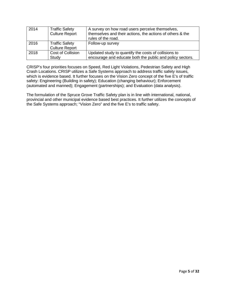| 2014 | <b>Traffic Safety</b><br><b>Culture Report</b> | A survey on how road users perceive themselves,<br>themselves and their actions, the actions of others & the<br>rules of the road. |
|------|------------------------------------------------|------------------------------------------------------------------------------------------------------------------------------------|
| 2016 | <b>Traffic Safety</b><br><b>Culture Report</b> | Follow-up survey                                                                                                                   |
| 2018 | Cost of Collision<br>Study                     | Updated study to quantify the costs of collisions to<br>encourage and educate both the public and policy sectors.                  |

CRISP's four priorities focuses on Speed, Red Light Violations, Pedestrian Safety and High Crash Locations. CRISP utilizes a Safe Systems approach to address traffic safety issues, which is evidence based. It further focuses on the Vision Zero concept of the five E's of traffic safety: Engineering (Building in safety); Education (changing behaviour); Enforcement (automated and manned); Engagement (partnerships); and Evaluation (data analysis).

The formulation of the Spruce Grove Traffic Safety plan is in line with international, national, provincial and other municipal evidence based best practices. It further utilizes the concepts of the Safe Systems approach; "Vision Zero" and the five E's to traffic safety.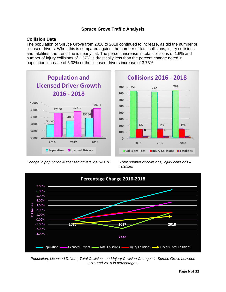# **Spruce Grove Traffic Analysis**

# **Collision Data**

The population of Spruce Grove from 2016 to 2018 continued to increase, as did the number of licensed drivers. When this is compared against the number of total collisions, injury collisions, and fatalities, the trend line is nearly flat. The percent increase in total collisions of 1.6% and number of injury collisions of 1.57% is drastically less than the percent change noted in population increase of 6.32% or the licensed drivers increase of 3.73%.



*Change in population & licensed drivers 2016-2018 Total number of collisions, injury collisions &* 



*fatalities*



*Population, Licensed Drivers, Total Collisions and Injury Collision Changes in Spruce Grove between 2016 and 2018 in percentages.*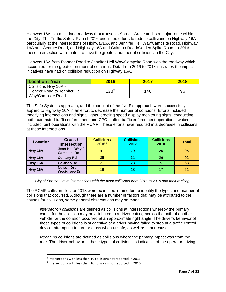Highway 16A is a multi-lane roadway that transects Spruce Grove and is a major route within the City. The Traffic Safety Plan of 2016 prioritized efforts to reduce collisions on Highway 16A particularly at the intersections of Highway16A and Jennifer Heil Way/Campsite Road, Highway 16A and Century Road, and Highway 16A and Calahoo Road/Golden Spike Road. In 2016 these intersection were noted to have the greatest number of collisions in the City.

Highway 16A from Pioneer Road to Jennifer Heil Way/Campsite Road was the roadway which accounted for the greatest number of collisions. Data from 2016 to 2018 illustrates the impact initiatives have had on collision reduction on Highway 16A.

| <b>Location / Year</b>                                                     | 2016             | 2017 | 2018 |
|----------------------------------------------------------------------------|------------------|------|------|
| Collisions Hwy 16A -<br>Pioneer Road to Jennifer Heil<br>Way/Campsite Road | 123 <sup>3</sup> | 140  | 96   |

The Safe Systems approach, and the concept of the five E's approach were successfully applied to Highway 16A in an effort to decrease the number of collisions. Efforts included modifying intersections and signal lights, erecting speed display monitoring signs, conducting both automated traffic enforcement and CPO staffed traffic enforcement operations, which included joint operations with the RCMP. These efforts have resulted in a decrease in collisions at these intersections.

| <b>Location</b> | Cross /<br><b>Intersection</b>        | <b>Collisions</b><br>20166 | <b>Collisions</b><br>2017 | <b>Collisions</b><br>2018 | <b>Total</b> |
|-----------------|---------------------------------------|----------------------------|---------------------------|---------------------------|--------------|
| Hwy 16A         | Jenn Heil Way /<br><b>Campsite Rd</b> | 41                         | 29                        | 25                        | 95           |
| Hwy 16A         | <b>Century Rd</b>                     | 35                         | 31                        | 26                        | 92           |
| Hwy 16A         | <b>Calahoo Rd</b>                     | 31                         | 23                        | -9                        | 63           |
| Hwy 16A         | Nelson Dr /<br><b>Westgrove Dr</b>    | 16                         | 18                        | 17                        | 51           |

*City of Spruce Grove intersections with the most collisions from 2016 to 2018 and their ranking.*

The RCMP collision files for 2018 were examined in an effort to identify the types and manner of collisions that occurred. Although there are a number of factors that may be attributed to the causes for collisions, some general observations may be made.

*Intersection collisions* are defined as collisions at intersections whereby the primary cause for the collision may be attributed to a driver cutting across the path of another vehicle, or the collision occurred at an approximate right angle. The driver's behavior of these types of collisions is suggestive of a driver having failed to stop at a traffic control device, attempting to turn or cross when unsafe, as well as other causes.

<span id="page-7-0"></span>*Rear End* collisions are defined as collisions where the primary impact was from the rear. The driver behavior in these types of collisions is indicative of the operator driving

 $\overline{\phantom{a}}$ 

<sup>3</sup> Intersections with less than 10 collisions not reported in 2016

<span id="page-7-1"></span> $6$  Intersections with less than 10 collisions not reported in 2016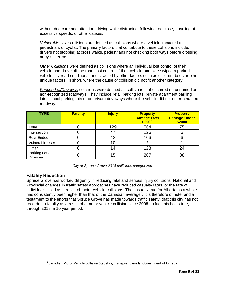without due care and attention, driving while distracted, following too close, traveling at excessive speeds, or other causes.

*Vulnerable User* collisions are defined as collisions where a vehicle impacted a pedestrian, or cyclist. The primary factors that contribute to these collisions include: drivers not stopping at cross walks, pedestrians not checking both ways before crossing, or cyclist errors.

*Other Collisions* were defined as collisions where an individual lost control of their vehicle and drove off the road, lost control of their vehicle and side swiped a parked vehicle, icy road conditions, or distracted by other factors such as children, bees or other unique factors. In short, where the cause of collision did not fit another category.

*Parking Lot/Driveway* collisions were defined as collisions that occurred on unnamed or non-recognized roadways. They include retail parking lots, private apartment parking lots, school parking lots or on private driveways where the vehicle did not enter a named roadway.

| <b>TYPE</b>               | <b>Fatality</b> | <b>Injury</b> | <b>Property</b><br><b>Damage Over</b><br>\$2000 | <b>Property</b><br><b>Damage Under</b><br>\$2000 |
|---------------------------|-----------------|---------------|-------------------------------------------------|--------------------------------------------------|
| Total                     |                 | 129           | 564                                             | 75                                               |
| Intersection              |                 |               | 126                                             |                                                  |
| <b>Rear Ended</b>         |                 | 43            | 106                                             |                                                  |
| Vulnerable User           |                 | 10            |                                                 |                                                  |
| Other                     |                 | 14            | 123                                             | 24                                               |
| Parking Lot /<br>Driveway |                 | 15            | 207                                             | 38                                               |

*City of Spruce Grove 2018 collisions categorized.*

#### **Fatality Reduction**

l

Spruce Grove has worked diligently in reducing fatal and serious injury collisions. National and Provincial changes in traffic safety approaches have reduced casualty rates, or the rate of individuals killed as a result of motor vehicle collisions. The casualty rate for Alberta as a whole has consistently been higher than that of the Canadian average<sup>[5](#page-8-0)</sup>. It is therefore of note, and a testament to the efforts that Spruce Grove has made towards traffic safety, that this city has not recorded a fatality as a result of a motor vehicle collision since 2008. In fact this holds true, through 2018, a 10 year period.

<span id="page-8-0"></span><sup>5</sup> Canadian Motor Vehicle Collision Statistics, Transport Canada, Government of Canada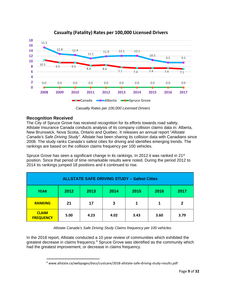

# **Casualty (Fatality) Rates per 100,000 Licensed Drivers**

*Casualty Rates per 100,000 Licensed Drivers*

# **Recognition Received**

l

The City of Spruce Grove has received recognition for its efforts towards road safety. Allstate Insurance Canada conducts analysis of its company collision claims data in: Alberta, New Brunswick, Nova Scotia, Ontario and Quebec. It releases an annual report "*Allstate Canada's Safe Driving Study".* Allstate has been sharing its collision data with Canadians since 2008. The study ranks Canada's safest cities for driving and identifies emerging trends. The rankings are based on the collision claims frequency per 100 vehicles.

Spruce Grove has seen a significant change in its rankings. In 2012 it was ranked in 21<sup>st</sup> position. Since that period of time remarkable results were noted. During the period 2012 to 2014 its rankings jumped 18 positions and it continued to rise.

| <b>ALLSTATE SAFE DRIVING STUDY - Safest Cities</b> |                                              |      |      |      |      |              |  |  |
|----------------------------------------------------|----------------------------------------------|------|------|------|------|--------------|--|--|
| <b>YEAR</b>                                        | 2012                                         | 2013 | 2014 | 2015 | 2016 | 2017         |  |  |
| <b>RANKING</b>                                     | 21                                           | 17   | 3    | 1    |      | $\mathbf{2}$ |  |  |
| <b>CLAIM</b><br><b>FREQUENCY</b>                   | 5.00<br>3.43<br>4.23<br>3.60<br>4.02<br>3.79 |      |      |      |      |              |  |  |

*Allstate Canada's Safe Driving Study Claims frequency per 100 vehicles.*

<span id="page-9-0"></span>In the 2018 report, Allstate conducted a 10 year review of communities which exhibited the greatest decrease in claims frequency.<sup>[6](#page-9-0)</sup> Spruce Grove was identified as the community which had the greatest improvement, or decrease in claims frequency.

 $6$  www.allstate.ca/webpages/docs/custcare/2018-allstate-safe-driving-study-results.pdf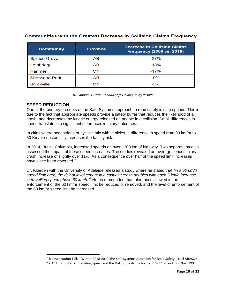| <b>Communities with the Greatest Decrease in Collision Claims Frequency</b> |  |  |  |  |
|-----------------------------------------------------------------------------|--|--|--|--|
|                                                                             |  |  |  |  |

| <b>Community</b>     | <b>Province</b> | <b>Decrease in Collision Claims</b><br><b>Frequency (2008 vs. 2018)</b> |
|----------------------|-----------------|-------------------------------------------------------------------------|
| <b>Spruce Grove</b>  | AB              | $-27\%$                                                                 |
| Lethbridge           | AB              | $-18%$                                                                  |
| Hanmer               | ON              | $-17%$                                                                  |
| <b>Sherwood Park</b> | AB              | $-9%$                                                                   |
| <b>Brockville</b>    | ON              | $-5%$                                                                   |

*10th Annual Allstate Canada Safe Driving Study Results*

# **SPEED REDUCTION**

 $\overline{\phantom{a}}$ 

One of the primary precepts of the Safe Systems approach to road safety is safe speeds. This is due to the fact that appropriate speeds provide a safety buffer that reduces the likelihood of a crash, and decreases the kinetic energy released on people in a collision. Small differences in speed translate into significant differences in injury outcomes.

In cities where pedestrians or cyclists mix with vehicles, a difference in speed from 30 km/hr to 50 Km/hr substantially increases the fatality risk.

In 2014, British Columbia, increased speeds on over 1300 km of highway. Two separate studies assessed the impact of these speed increases. The studies revealed an average serious injury crash increase of slightly over 11%. As a consequence over half of the speed limit increases have since been reversed.<sup>[7](#page-10-0)</sup>

Dr. Kloeden with the University of Adelaide released a study where he stated that *"in a 60 km/h speed limit area, the risk of involvement in a casualty crash doubles with each 5 km/h increase in travelling speed above 60 km/h."[8](#page-10-1)* He recommended that tolerances allowed in the enforcement of the 60 km/hr speed limit be reduced or removed, and the level of enforcement of the 60 km/hr speed limit be increased.

<span id="page-10-1"></span><span id="page-10-0"></span> $7$  Transportation Talk – Winter 2018-2019 The Safe Systems Approach for Road Safety – Neil ARASON <sup>8</sup> KLOEDEN, CN et al. Traveling Speed and the Risk of Crash Involvement, Vol 1 – Findings, Nov. 1997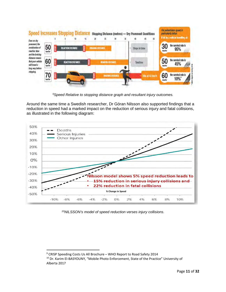| <b>Speed Increases Stoppi</b><br>Even on dry                                               |                  |   |                   | 10                       | 20                      | Stopping Distance (metres) - Dry Pavement Conditions<br>25 | 25                      |               | 40              |              | For podentrians speed is<br>particularly lethal.<br>If his by a value is travelling at: |
|--------------------------------------------------------------------------------------------|------------------|---|-------------------|--------------------------|-------------------------|------------------------------------------------------------|-------------------------|---------------|-----------------|--------------|-----------------------------------------------------------------------------------------|
| pavement, the<br>combination of<br>reaction time                                           | 50<br>km/hr      |   | REACTION DISTANCE |                          | <b>BRAKING DISTANCE</b> |                                                            |                         | Stops in time |                 | 30<br>km/hr. | the survival rate is<br>95%                                                             |
| and the braking<br>distance means<br>that your vehicle<br>will travel a<br>long way before | 60<br>km/hr      |   |                   | <b>REACTION DISTANCE</b> |                         | <b>BUKING DISTANCE</b>                                     |                         | Touches       |                 | 50<br>km/hr  | the survival rate is<br>45%                                                             |
| stopping.                                                                                  | 70 <sub>km</sub> | Ē |                   |                          |                         |                                                            | <b>BRAKING DISTANCE</b> |               | Hits at 43 km/h | 60<br>knyhr  | the survival rate is<br>10%*                                                            |

*[9](#page-11-0)Speed Relative to stopping distance graph and resultant injury outcomes.*

Around the same time a Swedish researcher, Dr Göran Nilsson also supported findings that a reduction in speed had a marked impact on the reduction of serious injury and fatal collisions, as illustrated in the following diagram:



*[10](#page-11-1)NILSSON's model of speed reduction verses injury collisions.*

l

<sup>&</sup>lt;sup>9</sup> CRISP Speeding Costs Us All Brochure – WHO Report to Road Safety 2014

<span id="page-11-1"></span><span id="page-11-0"></span><sup>&</sup>lt;sup>10</sup> Dr. Karim El-BASYOUNY, "Mobile Photo Enforcement, State of the Practice" University of Alberta 2017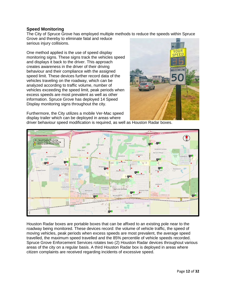#### **Speed Monitoring**

The City of Spruce Grove has employed multiple methods to reduce the speeds within Spruce Grove and thereby to eliminate fatal and reduce serious injury collisions.

One method applied is the use of speed display monitoring signs. These signs track the vehicles speed and displays it back to the driver. This approach creates awareness in the driver of their driving behaviour and their compliance with the assigned speed limit. These devices further record data of the vehicles traveling on the roadway, which can be analyzed according to traffic volume, number of vehicles exceeding the speed limit, peak periods when excess speeds are most prevalent as well as other information. Spruce Grove has deployed 14 Speed Display monitoring signs throughout the city.



Furthermore, the City utilizes a mobile Ver-Mac speed display trailer which can be deployed in areas where

driver behaviour speed modification is required, as well as Houston Radar boxes.



Houston Radar boxes are portable boxes that can be affixed to an existing pole near to the roadway being monitored. These devices record: the volume of vehicle traffic, the speed of moving vehicles, peak periods when excess speeds are most prevalent, the average speed travelled, the maximum speed travelled and the 85% percentile of vehicle speeds recorded. Spruce Grove Enforcement Services rotates two (2) Houston Radar devices throughout various areas of the city on a regular basis. A third Houston Radar box is deployed in areas where citizen complaints are received regarding incidents of excessive speed.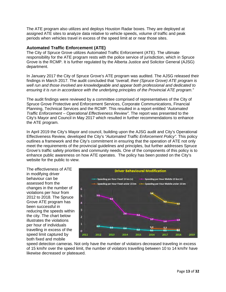The ATE program also utilizes and deploys Houston Radar boxes. They are deployed at assigned ATE sites to analyze data relative to vehicle speeds, volume of traffic and peak periods when vehicles travel in excess of the speed limit at or near those sites.

#### **Automated Traffic Enforcement (ATE)**

The City of Spruce Grove utilizes Automated Traffic Enforcement (ATE). The ultimate responsibility for the ATE program rests with the police service of jurisdiction, which in Spruce Grove is the RCMP. It is further regulated by the Alberta Justice and Solicitor General (AJSG) department.

In January 2017 the City of Spruce Grove's ATE program was audited. The AJSG released their findings in March 2017. The audit concluded that *"overall, their (Spruce Grove) ATE program is well run and those involved are knowledgeable and appear both professional and dedicated to ensuring it is run in accordance with the underlying principles of the Provincial ATE program."*

The audit findings were reviewed by a committee comprised of representatives of the City of Spruce Grove Protective and Enforcement Services, Corporate Communications, Financial Planning, Technical Services and the RCMP. This resulted in a report entitled *"Automated Traffic Enforcement – Operational Effectiveness Review"*. The report was presented to the City's Mayor and Council in May 2017 which resulted in further recommendations to enhance the ATE program.

In April 2019 the City's Mayor and council, building upon the AJSG audit and City's Operational Effectiveness Review, developed the City's *"Automated Traffic Enforcement Policy".* This policy outlines a framework and the City's commitment in ensuring that the operation of ATE not only meet the requirements of the provincial guidelines and principles, but further addresses Spruce Grove's traffic safety priorities and community needs. One of the components of this policy is to enhance public awareness on how ATE operates. The policy has been posted on the City's website for the public to view.

The effectiveness of ATE in modifying driver behaviour can be assessed from the changes in the number of violations per hour from 2012 to 2018. The Spruce Grove ATE program has been successful in reducing the speeds within the city. The chart below illustrates the violations per hour of individuals travelling in excess of the speed limit captured by both fixed and mobile



speed detection cameras. Not only have the number of violators decreased traveling in excess of 15 km/hr over the speed limit, the number of violators travelling between 10 to 14 km/hr have likewise decreased or plateaued.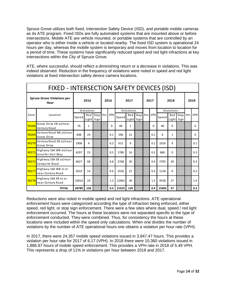Spruce Grove utilizes both fixed, Intersection Safety Device (ISD), and portable mobile cameras as its ATE program. Fixed ISDs are fully automated systems that are mounted above or before intersections. Mobile ATE are vehicle mounted, or portable systems that are controlled by an operator who is either inside a vehicle or located nearby. The fixed ISD system is operational 24 hours per day, whereas the mobile system is temporary and moves from location to location for a period of time. These systems have significantly reduced speed and red light infractions at key intersections within the City of Spruce Grove.

ATE, where successful, should reflect a diminishing return or a decrease in violations. This was indeed observed. Reduction in the frequency of violations were noted in speed and red light violations at fixed intersection safety device camera locations.

|                                            | FIXED - INTERSECTION SAFETY DEVICES (ISD)   |       |              |                            |  |            |       |              |                                |  |          |       |              |                        |       |            |
|--------------------------------------------|---------------------------------------------|-------|--------------|----------------------------|--|------------|-------|--------------|--------------------------------|--|----------|-------|--------------|------------------------|-------|------------|
| <b>Spruce Grove Violations per</b><br>Hour |                                             | 2016  |              | 2016                       |  |            | 2017  |              | 2017                           |  | 2018     |       |              | 2018                   |       |            |
|                                            |                                             |       | Violations   |                            |  |            |       | Violations   |                                |  |          |       | Violations   |                        |       |            |
| Zone                                       | Location                                    | Speed |              | Red Stop Hrs<br>Light Sign |  | <b>VPH</b> | Speed |              | Red Stop Hrs VPH<br>Light Sign |  |          | Speed |              | Red Stop<br>Light Sign | Hrs I | <b>VPH</b> |
| 90268                                      | Grove Drive EB at/near<br>Century Road      | 76    | $\mathbf{1}$ |                            |  | 0          | 48    | $\mathbf{1}$ |                                |  | $\Omega$ | 40    | $\Omega$     |                        |       | 0          |
| 90269                                      | Century Road NB at/near<br>Grove Drive      | 848   | 24           |                            |  | 0.1        | 596   | 21           |                                |  | 0.1      | 6     | $\mathbf{1}$ |                        |       | 0          |
| 90270                                      | Century Road SB at/near<br>Grove Drive      | 1906  | 4            |                            |  | 0.2        | 612   | 9            |                                |  | 0.1      | 1016  | 9            |                        |       | 0.1        |
| 90271                                      | Highway 16A WB at/near<br>Jennifer Heil Way | 4297  | 23           |                            |  | 0.5        | 1780  | 16           |                                |  | 0.2      | 860   | $\Omega$     |                        |       | 0.3        |
| 90272                                      | Highway 16A EB at/near<br>Campsite Road     | 6627  | 68           |                            |  | 0.8        | 2768  | 30           |                                |  | 0.4      | 2705  | 20           |                        |       | 0.3        |
| 90277                                      | Highway 16A WB at or<br>near Century Road   | 5019  | 14           |                            |  | 0.6        | 2556  | 22           |                                |  | 0.3      | 1218  | $\Omega$     |                        |       | 0.2        |
| 90278                                      | Highway 16A EB at or<br>near Century Road   | 10016 | 24           |                            |  | 1.2        | 12963 | 30           |                                |  | 1.5      | 9558  | 27           |                        |       | 1.4        |
|                                            | <b>TOTAL</b>                                | 28789 | 158          |                            |  | 0.5        | 21323 | 129          |                                |  | 0.4      | 15403 | 57           |                        |       | 0.3        |

Reductions were also noted in mobile speed and red light infractions. ATE operational enforcement hours were categorized according the type of infraction being enforced, either speed, red light, or stop sign enforcement. There were a few sites where dual, speed / red light enforcement occurred. The hours at these locations were not separated specific to the type of enforcement conducted. They were combined. Thus, for consistency the hours at these locations were included within the speed only calculations. When one divides the number of violations by the number of ATE operational hours one obtains a violation per hour rate (VPH).

In 2017, there were 24,357 mobile speed violations issued in 3,947.47 hours. This provides a violation per hour rate for 2017 of 6.17 (VPH). In 2018 there were 10,360 violations issued in 1,886.87 hours of mobile speed enforcement. This provides a VPH rate in 2018 of 5.49 VPH. This represents a drop of 11% in violations per hour between 2018 and 2017.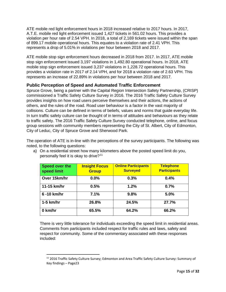ATE mobile red light enforcement hours in 2018 increased relative to 2017 hours. In 2017, A.T.E. mobile red light enforcement issued 1,427 tickets in 561.02 hours. This provides a violation per hour rate of 2.54 VPH. In 2018, a total of 2,169 tickets were issued within the span of 899.17 mobile operational hours. This equates to a violation rate of 2.41 VPH. This represents a drop of 5.01% in violations per hour between 2018 and 2017.

ATE mobile stop sign enforcement hours decreased in 2018 from 2017. In 2017, ATE mobile stop sign enforcement issued 3,197 violations in 1,492.80 operational hours. In 2018, ATE mobile stop sign enforcement issued 3,237 violations in 1,228.72 operational hours. This provides a violation rate in 2017 of 2.14 VPH, and for 2018 a violation rate of 2.63 VPH. This represents an increase of 22.89% in violations per hour between 2018 and 2017.

# **Public Perception of Speed and Automated Traffic Enforcement**

Spruce Grove, being a partner with the Capital Region Intersection Safety Partnership, (CRISP) commissioned a Traffic Safety Culture Survey in 2016. The 2016 Traffic Safety Culture Survey provides insights on how road users perceive themselves and their actions, the actions of others, and the rules of the road. Road user behaviour is a factor in the vast majority of collisions. Culture can be defined in terms of beliefs, values and norms that guide everyday life. In turn traffic safety culture can be thought of in terms of attitudes and behaviours as they relate to traffic safety. The 2016 Traffic Safety Culture Survey conducted telephone, online, and focus group sessions with community members representing the City of St. Albert, City of Edmonton, City of Leduc, City of Spruce Grove and Sherwood Park.

The operation of ATE is in-line with the perceptions of the survey participants. The following was noted, to the following questions:

| <b>Speed over the</b><br>speed limit | <b>Insight Focus</b><br><b>Group</b> | <b>Online Participants</b><br><b>Surveyed</b> | <b>Telephone</b><br><b>Participants</b> |
|--------------------------------------|--------------------------------------|-----------------------------------------------|-----------------------------------------|
| Over 15km/hr                         | $0.0\%$                              | 0.3%                                          | 0.4%                                    |
| 11-15 km/hr                          | 0.5%                                 | 1.2%                                          | 0.7%                                    |
| 6-10 km/hr                           | 7.1%                                 | 9.8%                                          | 5.0%                                    |
| $1-5$ km/hr                          | 26.8%                                | 24.5%                                         | 27.7%                                   |
| 0 km/hr                              | 65.5%                                | 64.2%                                         | 66.2%                                   |

a) On a residential street how many kilometers above the posted speed limit do you, personally feel it is okay to drive?<sup>[11](#page-15-0)</sup>

There is very little tolerance for individuals exceeding the speed limit in residential areas. Comments from participants included respect for traffic rules and laws, safety and respect for community. Some of the commentary associated with these responses included:

 $\overline{\phantom{a}}$ 

<span id="page-15-0"></span><sup>&</sup>lt;sup>11</sup> 2016 Traffic Safety Culture Survey; Edmonton and Area Traffic Safety Culture Survey: Summary of Key findings – Page23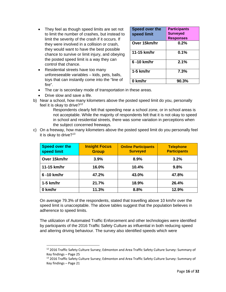- They feel as though speed limits are set not to limit the number of crashes, but instead to limit the severity of the crash if it occurs. If they were involved in a collision or crash, they would want to have the best possible chance to survive or limit injury, and obeying the posted speed limit is a way they can control that chance.
- Residential streets have too many unforeseeable variables – kids, pets, balls, toys that can instantly come into the "line of fire".

| Speed over the<br>speed limit | <b>Participants</b><br><b>Surveyed</b><br><b>Responses</b> |
|-------------------------------|------------------------------------------------------------|
| Over 15km/hr                  | 0.2%                                                       |
| 11-15 km/hr                   | 0.1%                                                       |
| 6-10 km/hr                    | 2.1%                                                       |
| $1-5$ km/hr                   | 7.3%                                                       |
| 0 km/hr                       | 90.3%                                                      |

- The car is secondary mode of transportation in these areas.
- Drive slow and save a life.

 $\overline{\phantom{a}}$ 

b) Near a school, how many kilometers above the posted speed limit do you, personally feel it is okay to drive?<sup>[12](#page-16-0)</sup>

Respondents clearly felt that speeding near a school zone, or in school areas is not acceptable. While the majority of respondents felt that it is not okay to speed in school and residential streets, there was some variation in perceptions when the subject concerned freeways.

c) On a freeway, how many kilometers above the posted speed limit do you personally feel it is okay to drive?<sup>[13](#page-16-1)</sup>

| Speed over the<br>speed limit | <b>Insight Focus</b><br><b>Group</b> | <b>Online Participants</b><br><b>Surveyed</b> | <b>Telephone</b><br><b>Participants</b> |  |  |
|-------------------------------|--------------------------------------|-----------------------------------------------|-----------------------------------------|--|--|
| Over 15km/hr                  | 3.9%                                 | 8.9%                                          | 3.2%                                    |  |  |
| 11-15 km/hr                   | 16.0%                                | 10.4%                                         | 9.8%                                    |  |  |
| 6-10 km/hr                    | 47.2%                                | 43.0%                                         | 47.8%                                   |  |  |
| $1-5$ km/hr                   | 21.7%                                | 18.9%                                         | 26.4%                                   |  |  |
| 0 km/hr                       | 11.3%                                | 8.8%                                          | 12.9%                                   |  |  |

On average 79.3% of the respondents, stated that travelling above 10 km/hr over the speed limit is unacceptable. The above tables suggest that the population believes in adherence to speed limits.

The utilization of Automated Traffic Enforcement and other technologies were identified by participants of the 2016 Traffic Safety Culture as influential in both reducing speed and altering driving behaviour. The survey also identified speeds which were

<span id="page-16-0"></span><sup>&</sup>lt;sup>12</sup> 2016 Traffic Safety Culture Survey; Edmonton and Area Traffic Safety Culture Survey: Summary of Key findings – Page 25

<span id="page-16-1"></span><sup>&</sup>lt;sup>13</sup> 2016 Traffic Safety Culture Survey; Edmonton and Area Traffic Safety Culture Survey: Summary of Key findings – Page 21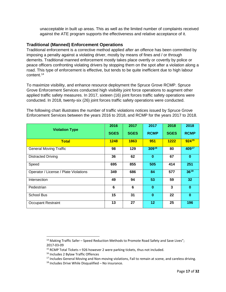unacceptable in built up areas. This as well as the limited number of complaints received against the ATE program supports the effectiveness and relative acceptance of it.

## **Traditional (Manned) Enforcement Operations**

Traditional enforcement is a corrective method applied after an offence has been committed by imposing a penalty against a violating driver, mostly by means of fines and / or through demerits. Traditional manned enforcement mostly takes place overtly or covertly by police or peace officers confronting violating drivers by stopping them on the spot after a violation along a road. This type of enforcement is effective, but tends to be quite inefficient due to high labour content. [14](#page-17-0)

To maximize visibility, and enhance resource deployment the Spruce Grove RCMP. Spruce Grove Enforcement Services conducted high visibility joint force operations to augment other applied traffic safety measures. In 2017, sixteen (16) joint forces traffic safety operations were conducted. In 2018, twenty-six (26) joint forces traffic safety operations were conducted.

The following chart illustrates the number of traffic violations notices issued by Spruce Grove Enforcement Services between the years 2016 to 2018, and RCMP for the years 2017 to 2018.

| <b>Violation Type</b>                 | 2016        | 2017        | 2017         | 2018        | 2018        |
|---------------------------------------|-------------|-------------|--------------|-------------|-------------|
|                                       | <b>SGES</b> | <b>SGES</b> | <b>RCMP</b>  | <b>SGES</b> | <b>RCMP</b> |
| <b>Total</b>                          | 1248        | 1863        | 951          | 1222        | 92415       |
| <b>General Moving Traffic</b>         | 98          | 129         | 30916        | 80          | 40917       |
| <b>Distracted Driving</b>             | 36          | 62          | $\bf{0}$     | 67          | $\bf{0}$    |
| Speed                                 | 695         | 855         | 505          | 414         | 251         |
| Operator / License / Plate Violations | 349         | 686         | 84           | 577         | $36^{18}$   |
| Intersection                          | 49          | 94          | 53           | 59          | 32          |
| Pedestrian                            | 6           | 6           | $\mathbf{0}$ | 3           | $\bf{0}$    |
| <b>School Bus</b>                     | 15          | 31          | $\bf{0}$     | 22          | $\bf{0}$    |
| <b>Occupant Restraint</b>             | 13          | 27          | 12           | 25          | 196         |

 $\overline{\phantom{a}}$ 

<span id="page-17-1"></span><span id="page-17-0"></span><sup>&</sup>lt;sup>14</sup> Making Traffic Safer – Speed Reduction Methods to Promote Road Safety and Save Lives"; 2017-03-09

<span id="page-17-2"></span><sup>&</sup>lt;sup>15</sup> RCMP Total Tickets = 926 however 2 were parking tickets, thus not included.<br><sup>16</sup> Includes 2 Bylaw Traffic Offences

 $17$  Includes General Moving and Non-moving violations, Fail to remain at scene, and careless driving.

<span id="page-17-4"></span><span id="page-17-3"></span> $18$  Includes Drive While Disqualified – No insurance.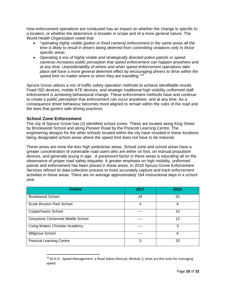How enforcement operations are conducted has an impact on whether the change is specific to a location, or whether the deterrence is broader in scope and of a more general nature. The World Health Organization noted that:

- "*operating highly visible (police or fixed camera) enforcement in the same areas all the time is likely to result in drivers being deterred from committing violations only in those specific areas.*
- *Operating a mix of highly visible and strategically directed police patrols or speed cameras increases public perception that speed enforcement can happen anywhere and at any time. Unpredictability of where and when speed enforcement operations take place will have a more general deterrent effect by encouraging drivers to drive within the speed limit no matter where or when they are travelling."[19](#page-18-0)*

Spruce Grove utilizes a mix of traffic safety operation methods to achieve identifiable results. Fixed ISD devices, mobile ATE devices, and strategic traditional high visibility uniformed staff enforcement is achieving behavioural change. These enforcement methods have and continue to create a public perception that enforcement can occur anywhere, and at any time. As a consequence driver behaviour becomes more aligned to remain within the rules of the road and the laws that govern safe driving practices.

# **School Zone Enforcement**

 $\overline{\phantom{a}}$ 

The city of Spruce Grove has (2) identified school zones. These are located along King Street by Brookwood School and along Pioneer Road by the Prescott Learning Centre. The engineering designs for the other schools located within the city have resulted in these locations being designated school areas where the speed limit does not have to be reduced.

These areas are none the less high pedestrian areas. School zone and school areas have a greater concentration of vulnerable road users who are either on foot, on manual propulsion devices, and generally young in age. A paramount factor in these areas is educating all on the observance of proper road safety etiquette. A greater emphasis on high visibility, uniformed patrols and enforcement has been placed in these areas. In 2018 Spruce Grove Enforcement Services refined its data collection process to more accurately capture and track enforcement activities in these areas. There are on average approximately 184 instructional days in a school year.

| <b>School</b>                      | 2017 | 2018 |
|------------------------------------|------|------|
| <b>Brookwood School</b>            | 24   | 32   |
| Ecole Broxton Park School          | 3    | 6    |
| Copperhaven School                 |      | 10   |
| Greystone Centennial Middle School |      | 12   |
| Living Waters Christian Academy    |      | 3    |
| Millgrove School                   |      | 6    |
| <b>Prescott Learning Centre</b>    | 3    | 33   |

<span id="page-18-0"></span> $19$  W.H.O - Speed Management: a Road Safety Manual, Module 3, what are the tools for managing speed.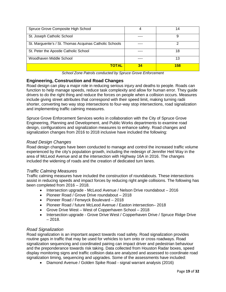| Spruce Grove Composite High School                      |    | 14  |
|---------------------------------------------------------|----|-----|
| St. Joseph Catholic School                              |    | 9   |
| St. Marguerite's / St. Thomas Acquinas Catholic Schools |    |     |
| St. Peter the Apostle Catholic School                   |    | 18  |
| Woodhaven Middle School                                 |    | 13  |
| <b>TOTAL</b>                                            | 34 | 158 |

*School Zone Patrols conducted by Spruce Grove Enforcement*

# **Engineering, Construction and Road Changes**

Road design can play a major role in reducing serious injury and deaths to people. Roads can function to help manage speeds, reduce task complexity and allow for human error. They guide drivers to do the right thing and reduce the forces on people when a collision occurs. Measures include giving street attributes that correspond with their speed limit, making turning radii shorter, converting two way stop intersections to four-way stop intersections, road signalization and implementing traffic calming measures.

Spruce Grove Enforcement Services works in collaboration with the City of Spruce Grove Engineering, Planning and Development, and Public Works departments to examine road design, configurations and signalization measures to enhance safety. Road changes and signalization changes from 2016 to 2018 inclusive have included the following:

# *Road Design Changes*

Road design changes have been conducted to manage and control the increased traffic volume experienced by the city's population growth, including the redesign of Jennifer Heil Way in the area of McLeod Avenue and at the intersection with Highway 16A in 2016. The changes included the widening of roads and the creation of dedicated turn lanes.

# *Traffic Calming Measures*

Traffic calming measures have included the construction of roundabouts. These intersections assist in reducing speeds and impact forces by reducing right angle collisions. The following has been completed from 2016 – 2018.

- Intersection upgrade McLeod Avenue / Nelson Drive roundabout 2016
- Pioneer Road / Grove Drive roundabout 2018
- Pioneer Road / Fenwyck Boulevard 2018
- Pioneer Road / future McLeod Avenue / Easton intersection– 2018
- Grove Drive West West of Copperhaven School 2018
- Intersection upgrade Grove Drive West / Copperhaven Drive / Spruce Ridge Drive  $-2018.$

# *Road Signalization*

Road signalization is an important aspect towards road safety. Road signalization provides routine gaps in traffic that may be used for vehicles to turn onto or cross roadways. Road signalization sequencing and coordinated pairing can impact driver and pedestrian behaviour and the preponderance towards risk taking. Data collected from Houston Radar boxes, speed display monitoring signs and traffic collision data are analyzed and assessed to coordinate road signalization timing, sequencing and upgrades. Some of the assessments have included:

• Diamond Avenue / Golden Spike Road - signal warrant analysis (2016)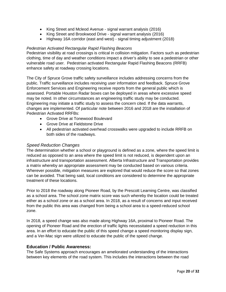- King Street and Mcleod Avenue signal warrant analysis (2016)
- King Street and Brookwood Drive signal warrant analysis (2016)
- Highway 16A corridor (east and west) signal timing adjustment (2018)

#### *Pedestrian Activated Rectangular Rapid Flashing Beacons*

Pedestrian visibility at road crossings is critical in collision mitigation. Factors such as pedestrian clothing, time of day and weather conditions impact a driver's ability to see a pedestrian or other vulnerable road user. Pedestrian activated Rectangular Rapid Flashing Beacons (RRFB) enhance safety at roadway crossing locations.

The City of Spruce Grove traffic safety surveillance includes addressing concerns from the public. Traffic surveillance includes receiving user information and feedback. Spruce Grove Enforcement Services and Engineering receive reports from the general public which is assessed. Portable Houston Radar boxes can be deployed in areas where excessive speed may be noted. In other circumstances an engineering traffic study may be conducted. Engineering may initiate a traffic study to assess the concern cited. If the data warrants, changes are implemented. Of particular note between 2016 and 2018 are the installation of Pedestrian Activated RRFBs:

- Grove Drive at Tonewood Boulevard
- Grove Drive at Fieldstone Drive
- All pedestrian activated overhead crosswalks were upgraded to include RRFB on both sides of the roadways.

#### *Speed Reduction Changes*

The determination whether a school or playground is defined as a zone, where the speed limit is reduced as opposed to an area where the speed limit is not reduced, is dependent upon an infrastructure and transportation assessment. Alberta Infrastructure and Transportation provides a matrix whereby an appropriate assessment may be conducted based on various criteria. Wherever possible, mitigation measures are explored that would reduce the score so that zones can be avoided. That being said, local conditions are considered to determine the appropriate treatment of these locations.

Prior to 2018 the roadway along Pioneer Road, by the Prescott Learning Centre, was classified as a school area. The school zone matrix score was such whereby the location could be treated either as a school zone or as a school area. In 2018, as a result of concerns and input received from the public this area was changed from being a school area to a speed-reduced school zone.

In 2018, a speed change was also made along Highway 16A, proximal to Pioneer Road. The opening of Pioneer Road and the erection of traffic lights necessitated a speed reduction in this area. In an effort to educate the public of this speed change a speed monitoring display sign, and a Ver-Mac sign were utilized to educate the public of the speed change.

#### **Education / Public Awareness:**

The Safe Systems approach encourages an ameliorated understanding of the interactions between key elements of the road system. This includes the interactions between the road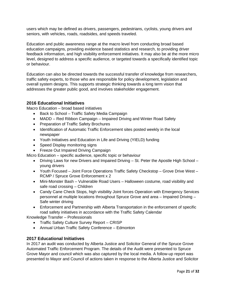users which may be defined as drivers, passengers, pedestrians, cyclists, young drivers and seniors, with vehicles, roads, roadsides, and speeds traveled.

Education and public awareness range at the macro level from conducting broad based education campaigns, providing evidence based statistics and research, to providing driver feedback information, and high visibility enforcement initiatives. It may also be at the more micro level, designed to address a specific audience, or targeted towards a specifically identified topic or behaviour.

Education can also be directed towards the successful transfer of knowledge from researchers, traffic safety experts, to those who are responsible for policy development, legislation and overall system designs. This supports strategic thinking towards a long term vision that addresses the greater public good, and involves stakeholder engagement.

## **2016 Educational Initiatives**

Macro Education – broad based initiatives

- Back to School Traffic Safety Media Campaign
- MADD Red Ribbon Campaign Impaired Driving and Winter Road Safety
- Preparation of Traffic Safety Brochures
- Identification of Automatic Traffic Enforcement sites posted weekly in the local newspaper
- Youth Initiatives and Education in Life and Driving (YIELD) funding
- Speed Display monitoring signs
- Freeze Out Impaired Driving Campaign

Micro Education – specific audience, specific topic or behaviour

- Driving Laws for new Drivers and Impaired Driving St. Peter the Apostle High School young drivers
- Youth Focused Joint Force Operations Traffic Safety Checkstop Grove Drive West RCMP / Spruce Grove Enforcement x 2
- Mini-Monster Bash Vulnerable Road Users Halloween costume, road visibility and safe road crossing – Children
- Candy Cane Check Stops, high visibility Joint forces Operation with Emergency Services personnel at multiple locations throughout Spruce Grove and area – Impaired Driving – Safe winter driving
- Enforcement and Partnership with Alberta Transportation in the enforcement of specific road safety initiatives in accordance with the Traffic Safety Calendar

Knowledge Transfer – Professionals

- Traffic Safety Culture Survey Report CRISP
- Annual Urban Traffic Safety Conference Edmonton

#### **2017 Educational Initiatives**

In 2017 an audit was conducted by Alberta Justice and Solicitor General of the Spruce Grove Automated Traffic Enforcement Program. The details of the Audit were presented to Spruce Grove Mayor and council which was also captured by the local media. A follow-up report was presented to Mayor and Council of actions taken in response to the Alberta Justice and Solicitor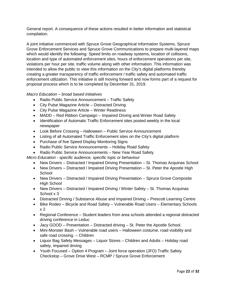General report. A consequence of these actions resulted in better information and statistical compilation.

A joint initiative commenced with Spruce Grove Geographical Information Systems, Spruce Grove Enforcement Services and Spruce Grove Communications to prepare multi-layered maps which would identify the following: Speed limits on roadway systems, location of collisions, location and type of automated enforcement sites, hours of enforcement operations per site, violations per hour per site, traffic volume along with other information. This information was intended to allow the public to view this information on the City's digital platforms thereby creating a greater transparency of traffic enforcement / traffic safety and automated traffic enforcement utilization. This initiative is still moving forward and now forms part of a request for proposal process which is to be completed by December 31, 2019.

#### *Macro Education – broad based initiatives*

- Radio Public Service Announcement Traffic Safety
- City Pulse Magazine Article Distracted Driving
- City Pulse Magazine Article Winter Readiness
- MADD Red Ribbon Campaign Impaired Driving and Winter Road Safety
- Identification of Automatic Traffic Enforcement sites posted weekly in the local newspaper
- Look Before Crossing Halloween Public Service Announcement
- Listing of all Automated Traffic Enforcement sites on the City's digital platform
- Purchase of five Speed Display Monitoring Signs
- Radio Public Service Announcements Holiday Road Safety
- Radio Public Service Announcements New Year Road Safety

*Micro Education - specific audience, specific topic or behaviour*

- New Drivers Distracted / Impaired Driving Presentation St. Thomas Acquinas School
- New Drivers Distracted / Impaired Driving Presentation St. Peter the Apostle High **School**
- New Drivers Distracted / Impaired Driving Presentation Spruce Grove Composite High School
- New Drivers Distracted / Impaired Driving / Winter Safety St. Thomas Acquinas School x 3
- Distracted Driving / Substance Abuse and Impaired Driving Prescott Learning Centre
- Bike Rodeo Bicycle and Road Safety Vulnerable Road Users Elementary Schools x 2
- Regional Conference Student leaders from area schools attended a regional distracted driving conference in Leduc
- Jacy GOOD Presentation Distracted driving St. Peter the Apostle School.
- Mini-Monster Bash Vulnerable road users Halloween costume, road visibility and safe road crossing. – Children
- Liquor Bag Safety Messages Liquor Stores Children and Adults Holiday road safety, impaired driving
- Youth Focused Option 4 Program Joint force operation (JFO) Traffic Safety Checkstop – Grove Drive West – RCMP / Spruce Grove Enforcement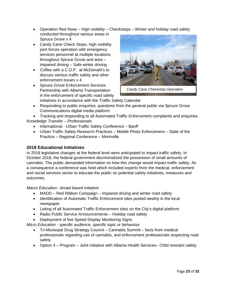- Operation Red Nose High visibility Checkstops Winter and holiday road safety conducted throughout various areas in Spruce Grove x 4
- Candy Cane Check Stops, high visibility joint forces operation with emergency services personnel at multiple locations throughout Spruce Grove and area – Impaired driving – Safe winter driving
- Coffee with a C.O.P. at McDonald's to discuss various traffic safety and other enforcement issues x 4
- Spruce Grove Enforcement Services Partnership with Alberta Transportation in the enforcement of specific road safety initiatives in accordance with the Traffic Safety Calendar



 *Candy Cane Checkstop Operation*

• Responding to public enquiries, questions from the general public via Spruce Grove Communications digital media platform

• Tracking and responding to all Automated Traffic Enforcement complaints and enquiries. *Knowledge Transfer – Professionals*

- International Urban Traffic Safety Conference Banff
- Urban Traffic Safety Research Practices Mobile Photo Enforcement State of the Practice – Regional Conference – Morinville

# **2018 Educational Initiatives**

In 2018 legislative changes at the federal level were anticipated to impact traffic safety. In October 2018, the federal government decriminalized the possession of small amounts of cannabis. The public demanded information on how this change would impact traffic safety. As a consequence a conference was held which included experts from the medical, enforcement and social services sector to educate the public on potential safety initiatives, measures and outcomes.

#### *Macro Education –broad based initiative*

- MADD Red Ribbon Campaign Impaired driving and winter road safety
- Identification of Automatic Traffic Enforcement sites posted weekly in the local newspaper
- Listing of all Automated Traffic Enforcement sites on the City's digital platform.
- Radio Public Service Announcements Holiday road safety
- Deployment of five Speed Display Monitoring Signs

*Micro Education - specific audience, specific topic or behaviour*

- Tri-Municipal Drug Strategy Council Cannabis Summit facts from medical professionals regarding use of cannabis, and enforcement professionals respecting road safety
- Option 4 Program Joint initiative with Alberta Health Services– Child restraint safety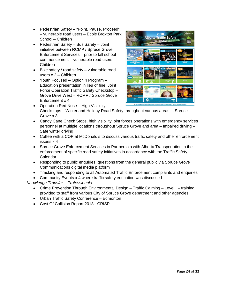- Pedestrian Safety "Point, Pause, Proceed" – vulnerable road users – Ecole Broxton Park School – Children
- Pedestrian Safety Bus Safety Joint initiative between RCMP / Spruce Grove Enforcement Services – prior to fall school commencement – vulnerable road users – Children
- Bike safety / road safety vulnerable road users x 2 – Children
- Youth Focused Option 4 Program Education presentation in lieu of fine, Joint Force Operation Traffic Safety Checkstop – Grove Drive West – RCMP / Spruce Grove Enforcement x 4



- Operation Red Nose High Visibility Checkstops – Winter and Holiday Road Safety throughout various areas in Spruce Grove x 3
- Candy Cane Check Stops, high visibility joint forces operations with emergency services personnel at multiple locations throughout Spruce Grove and area – Impaired driving – Safe winter driving
- Coffee with a COP at McDonald's to discuss various traffic safety and other enforcement issues x 4
- Spruce Grove Enforcement Services in Partnership with Alberta Transportation in the enforcement of specific road safety initiatives in accordance with the Traffic Safety Calendar
- Responding to public enquiries, questions from the general public via Spruce Grove Communications digital media platform
- Tracking and responding to all Automated Traffic Enforcement complaints and enquiries
- Community Events x 4 where traffic safety education was discussed

# *Knowledge Transfer – Professionals*

- Crime Prevention Through Environmental Design Traffic Calming Level I training provided to staff from various City of Spruce Grove department and other agencies
- Urban Traffic Safety Conference Edmonton
- Cost Of Collision Report 2018 CRISP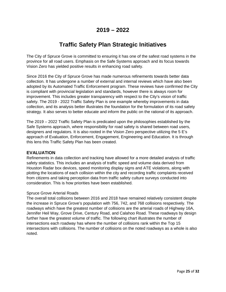# **2019 – 2022**

# **Traffic Safety Plan Strategic Initiatives**

The City of Spruce Grove is committed to ensuring it has one of the safest road systems in the province for all road users. Emphasis on the Safe Systems approach and its focus towards Vision Zero has yielded positive results in enhancing road safety.

Since 2016 the City of Spruce Grove has made numerous refinements towards better data collection. It has undergone a number of external and internal reviews which have also been adopted by its Automated Traffic Enforcement program. These reviews have confirmed the City is compliant with provincial legislation and standards, however there is always room for improvement. This includes greater transparency with respect to the City's vision of traffic safety. The 2019 - 2022 Traffic Safety Plan is one example whereby improvements in data collection, and its analysis better illustrates the foundation for the formulation of its road safety strategy. It also serves to better educate and inform the public on the rational of its approach.

The 2019 – 2022 Traffic Safety Plan is predicated upon the philosophies established by the Safe Systems approach, where responsibility for road safety is shared between road users, designers and regulators. It is also rooted in the Vision Zero perspective utilizing the 5 E's approach of Evaluation, Enforcement, Engagement, Engineering and Education. It is through this lens this Traffic Safety Plan has been created.

#### **EVALUATION**

Refinements in data collection and tracking have allowed for a more detailed analysis of traffic safety statistics. This includes an analysis of traffic speed and volume data derived from Houston Radar box devices, speed monitoring display signs and ATE violations, along with plotting the locations of each collision within the city and recording traffic complaints received from citizens and taking perception data from traffic safety culture surveys conducted into consideration. This is how priorities have been established.

#### Spruce Grove Arterial Roads

The overall total collisions between 2016 and 2018 have remained relatively consistent despite the increase in Spruce Grove's population with 756, 742, and 768 collisions respectively. The roadways which have the greatest number of collisions are the arterial roads of Highway 16A, Jennifer Heil Way, Grove Drive, Century Road, and Calahoo Road. These roadways by design further have the greatest volume of traffic. The following chart illustrates the number of intersections each roadway has where the number of collisions rank within the Top 15 intersections with collisions. The number of collisions on the noted roadways as a whole is also noted.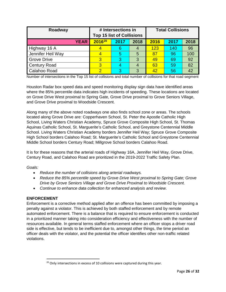| Roadway             | # Intersections in<br><b>Top 15 list of Collisions</b> |      | <b>Total Collisions</b> |      |      |      |
|---------------------|--------------------------------------------------------|------|-------------------------|------|------|------|
| <b>YEAR</b>         | 201620                                                 | 2017 | 2018                    | 2016 | 2017 | 2018 |
| Highway 16 A        |                                                        | 6    | 4                       | 123  | 140  | 96   |
| Jennifer Heil Way   |                                                        | 5    | 5                       | 87   | 96   | 100  |
| <b>Grove Drive</b>  | 3                                                      | 3    | 3                       | 49   | 69   | 92   |
| <b>Century Road</b> | 3                                                      | 4    | $\overline{4}$          | 63   | 59   | 82   |
| Calahoo Road        | 2                                                      | 3    | 3                       | 42   | 56   | 42   |

Number of intersections in the Top 15 list of collisions and total number of collisions for that road segment

Houston Radar box speed data and speed monitoring display sign data have identified areas where the 85% percentile data indicates high incidents of speeding. These locations are located on Grove Drive West proximal to Spring Gate, Grove Drive proximal to Grove Seniors Village, and Grove Drive proximal to Woodside Crescent.

Along many of the above noted roadways one also finds school zone or areas. The schools located along Grove Drive are: Copperhaven School, St. Peter the Apostle Catholic High School, Living Waters Christian Academy, Spruce Grove Composite High School, St. Thomas Aquinas Catholic School, St. Marguerite's Catholic School, and Greystone Centennial Middle School. Living Waters Christian Academy borders Jennifer Heil Way; Spruce Grove Composite High School borders Calahoo Road; St. Marguerite's Catholic School and Greystone Centennial Middle School borders Century Road; Millgrove School borders Calahoo Road.

It is for these reasons that the arterial roads of Highway 16A, Jennifer Heil Way, Grove Drive, Century Road, and Calahoo Road are prioritized in the 2019-2022 Traffic Safety Plan.

*Goals:*

- *Reduce the number of collisions along arterial roadways.*
- *Reduce the 85% percentile speed by Grove Drive West proximal to Spring Gate; Grove Drive by Grove Seniors Village and Grove Drive Proximal to Woodside Crescent.*
- *Continue to enhance data collection for enhanced analysis and review.*

#### **ENFORCEMENT**

l

Enforcement is a corrective method applied after an offence has been committed by imposing a penalty against a violator. This is achieved by both staffed enforcement and by remote automated enforcement. There is a balance that is required to ensure enforcement is conducted in a prioritized manner taking into consideration efficiency and effectiveness with the number of resources available. In general terms staffed enforcement where an officer stops a driver road side is effective, but tends to be inefficient due to, amongst other things, the time period an officer deals with the violator, and the potential the officer identifies other non-traffic related violations.

<span id="page-26-0"></span> $20$  Only intersections in excess of 10 collisions were captured during this year.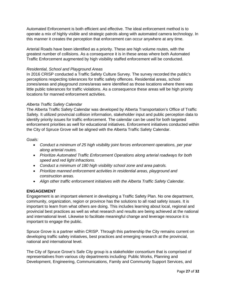Automated Enforcement is both efficient and effective. The ideal enforcement method is to operate a mix of highly visible and strategic patrols along with automated camera technology. In this manner it creates the perception that enforcement can occur anywhere at any time.

Arterial Roads have been identified as a priority. These are high volume routes, with the greatest number of collisions. As a consequence it is in these areas where both Automated Traffic Enforcement augmented by high visibility staffed enforcement will be conducted.

#### *Residential, School and Playground Areas*

In 2016 CRISP conducted a Traffic Safety Culture Survey. The survey recorded the public's perceptions respecting tolerances for traffic safety offences. Residential areas, school zones/areas and playground zones/areas were identified as those locations where there was little public tolerances for traffic violations. As a consequence these areas will be high priority locations for manned enforcement activities.

#### *Alberta Traffic Safety Calendar*

The Alberta Traffic Safety Calendar was developed by Alberta Transportation's Office of Traffic Safety. It utilized provincial collision information, stakeholder input and public perception data to identify priority issues for traffic enforcement. The calendar can be used for both targeted enforcement priorities as well for educational initiatives. Enforcement initiatives conducted within the City of Spruce Grove will be aligned with the Alberta Traffic Safety Calendar.

#### *Goals:*

- *Conduct a minimum of 25 high visibility joint forces enforcement operations, per year along arterial routes.*
- *Prioritize Automated Traffic Enforcement Operations along arterial roadways for both speed and red light infractions.*
- *Conduct a minimum of 180 high visibility school zone and area patrols.*
- *Prioritize manned enforcement activities in residential areas, playground and construction areas.*
- *Align other traffic enforcement initiatives with the Alberta Traffic Safety Calendar.*

#### **ENGAGEMENT**

Engagement is an important element in developing a Traffic Safety Plan. No one department, community, organization, region or province has the solutions to all road safety issues. It is important to learn from what others are doing. This includes learning about local, regional and provincial best practices as well as what research and results are being achieved at the national and international level. Likewise to facilitate meaningful change and leverage resource it is important to engage the public.

Spruce Grove is a partner within CRISP. Through this partnership the City remains current on developing traffic safety initiatives, best practices and emerging research at the provincial, national and international level.

The City of Spruce Grove's Safe City group is a stakeholder consortium that is comprised of representatives from various city departments including: Public Works, Planning and Development, Engineering, Communications, Family and Community Support Services, and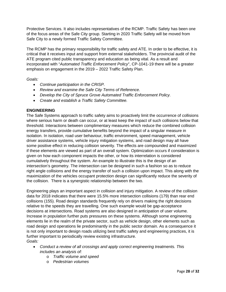Protective Services. It also includes representatives of the RCMP. Traffic Safety has been one of the focus areas of the Safe City group. Starting in 2020 Traffic Safety will be moved from Safe City to a newly formed Traffic Safety Committee.

The RCMP has the primary responsibility for traffic safety and ATE. In order to be effective, it is critical that it receives input and support from external stakeholders. The provincial audit of the ATE program cited public transparency and education as being vital. As a result and incorporated with "*Automated Traffic Enforcement Policy*", CP-1041-19 there will be a greater emphasis on engagement in the 2019 – 2022 Traffic Safety Plan.

*Goals:*

- *Continue participation in the CRISP.*
- *Review and examine the Safe City Terms of Reference.*
- *Develop the City of Spruce Grove Automated Traffic Enforcement Policy.*
- *Create and establish a Traffic Safety Committee.*

#### **ENGINEERING**

The Safe Systems approach to traffic safety aims to proactively limit the occurrence of collisions where serious harm or death can occur, or at least keep the impact of such collisions below that threshold. Interactions between complimentary measures which reduce the combined collision energy transfers, provide cumulative benefits beyond the impact of a singular measure in isolation. In isolation, road user behaviour, traffic environment, speed management, vehicle driver assistance systems, vehicle injury mitigation systems, and road design may all have some positive effect in reducing collision severity. The effects are compounded and maximized if these elements are viewed as part of an overall system. Optimization occurs if consideration is given on how each component impacts the other, or how its interrelation is considered cumulatively throughout the system. An example to illustrate this is the design of an intersection's geometry. The intersection can be designed in such a fashion so as to reduce right angle collisions and the energy transfer of such a collision upon impact. This along with the maximization of the vehicles occupant protection design can significantly reduce the severity of the collision. There is a synergistic relationship between the two.

Engineering plays an important aspect in collision and injury mitigation. A review of the collision data for 2018 indicates that there were 15.5% more intersection collisions (179) than rear end collisions (155). Road design standards frequently rely on drivers making the right decisions relative to the speeds they are travelling. One such example would be gap-acceptance decisions at intersections. Road systems are also designed in anticipation of user volume. Increase in population further puts pressures on these systems. Although some engineering elements lie in the realm of the private sector, such as vehicle design, other elements such as road design and operations lie predominantly in the public sector domain. As a consequence it is not only important to design roads utilizing best traffic safety and engineering practices, it is further important to periodically review existing infrastructure. *Goals:*

- *Conduct a review of all crossings and apply correct engineering treatments. This includes an analysis of:*
	- o *Traffic volume and speed*
	- o *Pedestrian volumes*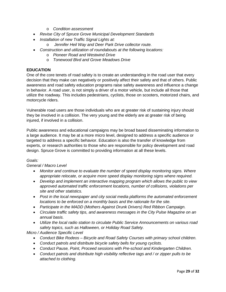- o *Condition assessment*
- *Revise City of Spruce Grove Municipal Development Standards*
- *Installation of new Traffic Signal Lights at:*
	- o *Jennifer Heil Way and Deer Park Drive collector route.*
- *Construction and utilization of roundabouts at the following locations:*
	- o *Pioneer Road and Westwind Drive*
	- o *Tonewood Blvd and Grove Meadows Drive*

#### **EDUCATION**

One of the core tenets of road safety is to create an understanding in the road user that every decision that they make can negatively or positively affect their safety and that of others. Public awareness and road safety education programs raise safety awareness and influence a change in behavior. A road user, is not simply a driver of a motor vehicle, but include all those that utilize the roadway. This includes pedestrians, cyclists, those on scooters, motorized chairs, and motorcycle riders.

Vulnerable road users are those individuals who are at greater risk of sustaining injury should they be involved in a collision. The very young and the elderly are at greater risk of being injured, if involved in a collision.

Public awareness and educational campaigns may be broad based disseminating information to a large audience. It may be at a more micro level, designed to address a specific audience or targeted to address a specific behavior. Education is also the transfer of knowledge from experts, or research authorities to those who are responsible for policy development and road design. Spruce Grove is committed to providing information at all these levels.

#### *Goals:*

#### *General / Macro Level*

- *Monitor and continue to evaluate the number of speed display monitoring signs. Where appropriate relocate, or acquire more speed display monitoring signs where required.*
- *Develop and implement an interactive mapping program which allows the public to view approved automated traffic enforcement locations, number of collisions, violations per site and other statistics.*
- *Post in the local newspaper and city social media platforms the automated enforcement locations to be enforced on a monthly basis and the rationale for the site.*
- *Participate in the MADD (Mothers Against Drunk Drivers) Red Ribbon Campaign.*
- *Circulate traffic safety tips, and awareness messages in the City Pulse Magazine on an annual basis.*
- *Utilize the local radio station to circulate Public Service Announcements on various road safety topics, such as Halloween, or Holiday Road Safety.*

#### *Micro / Audience Specific Level*

- *Conduct Bike Rodeos Bicycle and Road Safety Courses with primary school children.*
- *Conduct patrols and distribute bicycle safety bells for young cyclists.*
- *Conduct Pause, Point, Proceed sessions with Pre-school and Kindergarten Children.*
- *Conduct patrols and distribute high visibility reflective tags and / or zipper pulls to be attached to clothing.*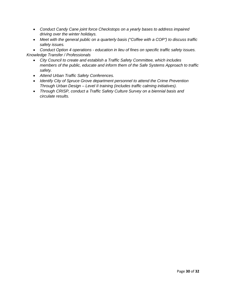- *Conduct Candy Cane joint force Checkstops on a yearly bases to address impaired driving over the winter holidays.*
- *Meet with the general public on a quarterly basis ("Coffee with a COP") to discuss traffic safety issues.*

• *Conduct Option 4 operations - education in lieu of fines on specific traffic safety issues. Knowledge Transfer / Professionals*

- *City Council to create and establish a Traffic Safety Committee, which includes members of the public, educate and inform them of the Safe Systems Approach to traffic safety.*
- *Attend Urban Traffic Safety Conferences.*
- *Identify City of Spruce Grove department personnel to attend the Crime Prevention Through Urban Design – Level II training (includes traffic calming initiatives).*
- *Through CRISP, conduct a Traffic Safety Culture Survey on a biennial basis and circulate results.*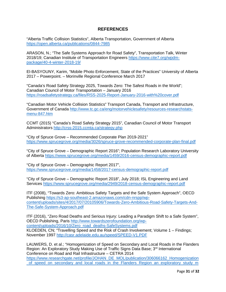## **REFERENCES**

"Alberta Traffic Collision Statistics", Alberta Transportation, Government of Alberta <https://open.alberta.ca/publications/0844-7985>

ARASON, N.; "The Safe Systems Approach for Road Safety", Transportation Talk, Winter 2018/19; Canadian Institute of Transportation Engineers [https://www.cite7.org/wpdm](https://www.cite7.org/wpdm-package/40-4-winter-2018-19/)[package/40-4-winter-2018-19/](https://www.cite7.org/wpdm-package/40-4-winter-2018-19/) 

El-BASYOUNY, Karim, "Mobile Photo Enforcement, State of the Practices" University of Alberta 2017 – Powerpoint. – Morinville Regional Conference March 2017

"Canada's Road Safety Strategy 2025, Towards Zero: The Safest Roads in the World"; Canadian Council of Motor Transportation – January 2016 <https://roadsafetystrategy.ca/files/RSS-2025-Report-January-2016-with%20cover.pdf>

"Canadian Motor Vehicle Collision Statistics" Transport Canada, Transport and Infrastructure, Government of Canada [http://www.tc.gc.ca/eng/motorvehiclesafety/resources-researchstats](http://www.tc.gc.ca/eng/motorvehiclesafety/resources-researchstats-menu-847.htm)[menu-847.htm](http://www.tc.gc.ca/eng/motorvehiclesafety/resources-researchstats-menu-847.htm) 

CCMT (2015) "Canada's Road Safety Strategy 2015", Canadian Council of Motor Transport Administrators<http://crss-2015.ccmta.ca/strategy.php>

"City of Spruce Grove – Recommended Corporate Plan 2019-2021" <https://www.sprucegrove.org/media/3026/spruce-grove-recommended-corporate-plan-final.pdf>

"City of Spruce Grove – Demographic Report 2016"; Population Research Laboratory University of Alberta<https://www.sprucegrove.org/media/1459/2016-census-demographic-report.pdf>

"City of Spruce Grove – Demographic Report 2017", <https://www.sprucegrove.org/media/1458/2017-census-demographic-report.pdf>

"City of Spruce Grove – Demographic Report 2018", July 2018; ISL Engineering and Land Services<https://www.sprucegrove.org/media/2949/2018-census-demographic-report.pdf>

ITF (2008), "Towards Zero: Ambitious Safety Targets and the Safe System Approach", OECD Publishing [https://s3-ap-southeast-2.amazonaws.com/cdn-nrspp/wp](https://s3-ap-southeast-2.amazonaws.com/cdn-nrspp/wp-content/uploads/sites/4/2017/07/20105906/Towards-Zero-Ambitious-Road-Safety-Targets-And-The-Safe-System-Approach.pdf)[content/uploads/sites/4/2017/07/20105906/Towards-Zero-Ambitious-Road-Safety-Targets-And-](https://s3-ap-southeast-2.amazonaws.com/cdn-nrspp/wp-content/uploads/sites/4/2017/07/20105906/Towards-Zero-Ambitious-Road-Safety-Targets-And-The-Safe-System-Approach.pdf)[The-Safe-System-Approach.pdf](https://s3-ap-southeast-2.amazonaws.com/cdn-nrspp/wp-content/uploads/sites/4/2017/07/20105906/Towards-Zero-Ambitious-Road-Safety-Targets-And-The-Safe-System-Approach.pdf) 

ITF (2016), "Zero Road Deaths and Serious Injury: Leading a Paradigm Shift to a Safe System", OECD Publishing, Paris [http://www.towardszerofoundation.org/wp](http://www.towardszerofoundation.org/wp-content/uploads/2016/10/Zero_road_deaths-SafeSystems.pdf)[content/uploads/2016/10/Zero\\_road\\_deaths-SafeSystems.pdf](http://www.towardszerofoundation.org/wp-content/uploads/2016/10/Zero_road_deaths-SafeSystems.pdf)  KLOEDEN, CN; "Travelling Speed and the Risk of Crash Involvement; Volume 1 – Findings; November 1997<http://casr.adelaide.edu.au/speed/SPEED-V1.PDF>

LAUWERS, D. et al.; "Homogenization of Speed on Secondary and Local Roads in the Flanders Region: An Exploratory Study Making Use of Traffic Signs Data Base; 3<sup>rd</sup> International Conference on Road and Rail Infrastructure – CETRA 2014 [https://www.researchgate.net/profile/JOHAN\\_DE\\_MOL/publication/306066162\\_Homogenization](https://www.researchgate.net/profile/JOHAN_DE_MOL/publication/306066162_Homogenization_of_speed_on_secondary_and_local_roads_in_the_Flanders_Region_an_exploratory_study_making_use_of_a_Traffic_Signs_Database/links/57ada91808ae7a6420c51201/Homogenization-of-speed-on-secondary-and-local-roads-in-the-Flanders-Region-an-exploratory-study-making-use-of-a-Traffic-Signs-Database.pdf?origin=publication_detail) of speed on secondary and local roads in the Flanders Region an exploratory study m